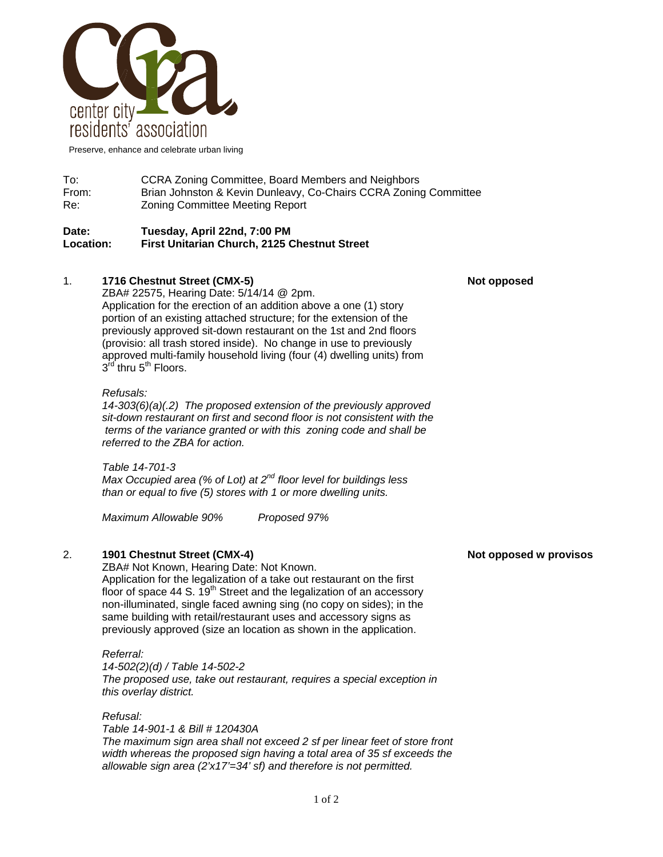

Preserve, enhance and celebrate urban living

# To: CCRA Zoning Committee, Board Members and Neighbors From: Brian Johnston & Kevin Dunleavy, Co-Chairs CCRA Zoning Committee Re: Zoning Committee Meeting Report

#### **Date: Tuesday, April 22nd, 7:00 PM Location: First Unitarian Church, 2125 Chestnut Street**

# 1. **1716 Chestnut Street (CMX-5)** Not opposed **Not opposed**

ZBA# 22575, Hearing Date: 5/14/14 @ 2pm. Application for the erection of an addition above a one (1) story portion of an existing attached structure; for the extension of the previously approved sit-down restaurant on the 1st and 2nd floors (provisio: all trash stored inside). No change in use to previously approved multi-family household living (four (4) dwelling units) from  $3<sup>id</sup>$  thru  $5<sup>th</sup>$  Floors.

#### *Refusals:*

*14-303(6)(a)(.2) The proposed extension of the previously approved sit-down restaurant on first and second floor is not consistent with the terms of the variance granted or with this zoning code and shall be referred to the ZBA for action.* 

*Table 14-701-3 Max Occupied area (% of Lot) at 2nd floor level for buildings less than or equal to five (5) stores with 1 or more dwelling units.* 

*Maximum Allowable 90% Proposed 97%* 

## 2. **1901 Chestnut Street (CMX-4)** And the street of the street of the street of the street of the street of the street of the street of the street of the street of the street of the street of the street of the street of th

 ZBA# Not Known, Hearing Date: Not Known. Application for the legalization of a take out restaurant on the first floor of space 44 S.  $19<sup>th</sup>$  Street and the legalization of an accessory non-illuminated, single faced awning sing (no copy on sides); in the same building with retail/restaurant uses and accessory signs as previously approved (size an location as shown in the application.

#### *Referral:*

*14-502(2)(d) / Table 14-502-2 The proposed use, take out restaurant, requires a special exception in this overlay district.* 

### *Refusal:*

*Table 14-901-1 & Bill # 120430A The maximum sign area shall not exceed 2 sf per linear feet of store front width whereas the proposed sign having a total area of 35 sf exceeds the allowable sign area (2'x17'=34' sf) and therefore is not permitted.*